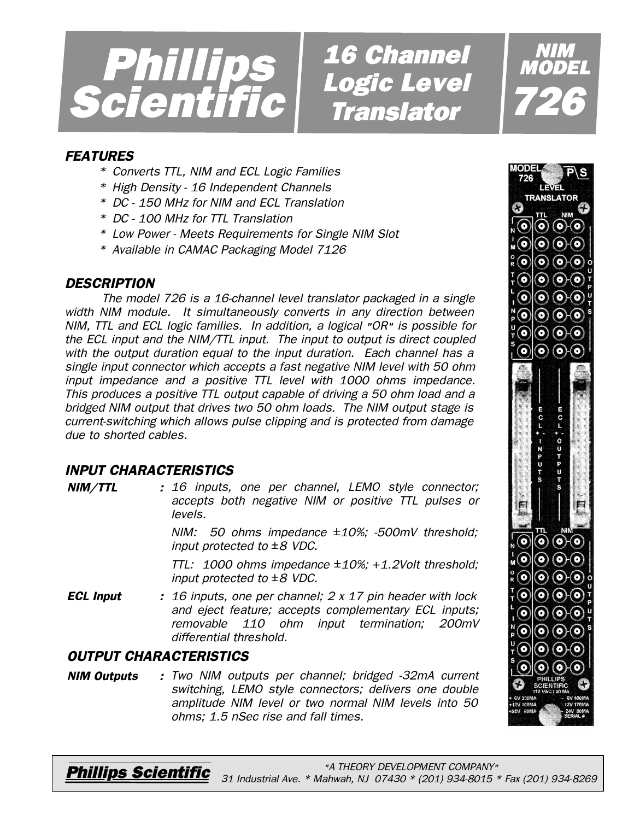

*16 Channel 16 Logic Level Level Translator Translator*

### *FEATURES*

- *\* Converts TTL, NIM and ECL Logic Families*
- *\* High Density 16 Independent Channels*
- *\* DC 150 MHz for NIM and ECL Translation*
- *\* DC 100 MHz for TTL Translation*
- *\* Low Power Meets Requirements for Single NIM Slot*
- *\* Available in CAMAC Packaging Model 7126*

#### *DESCRIPTION*

*The model 726 is a 16-channel level translator packaged in a single width NIM module. It simultaneously converts in any direction between NIM, TTL and ECL logic families. In addition, a logical "OR" is possible for the ECL input and the NIM/TTL input. The input to output is direct coupled with the output duration equal to the input duration. Each channel has a single input connector which accepts a fast negative NIM level with 50 ohm input impedance and a positive TTL level with 1000 ohms impedance. This produces a positive TTL output capable of driving a 50 ohm load and a bridged NIM output that drives two 50 ohm loads. The NIM output stage is current-switching which allows pulse clipping and is protected from damage due to shorted cables.*

# *INPUT CHARACTERISTICS*

*NIM/TTL : 16 inputs, one per channel, LEMO style connector; accepts both negative NIM or positive TTL pulses or levels.*

> *NIM: 50 ohms impedance ±10%; -500mV threshold; input protected to ±8 VDC.*

> *TTL: 1000 ohms impedance ±10%; +1.2Volt threshold; input protected to ±8 VDC.*

*ECL Input : 16 inputs, one per channel; 2 x 17 pin header with lock and eject feature; accepts complementary ECL inputs; removable 110 ohm input termination; 200mV differential threshold.*

# *OUTPUT CHARACTERISTICS*

*NIM Outputs : Two NIM outputs per channel; bridged -32mA current switching, LEMO style connectors; delivers one double amplitude NIM level or two normal NIM levels into 50 ohms; 1.5 nSec rise and fall times.*



*NIM MODEL*

*726*